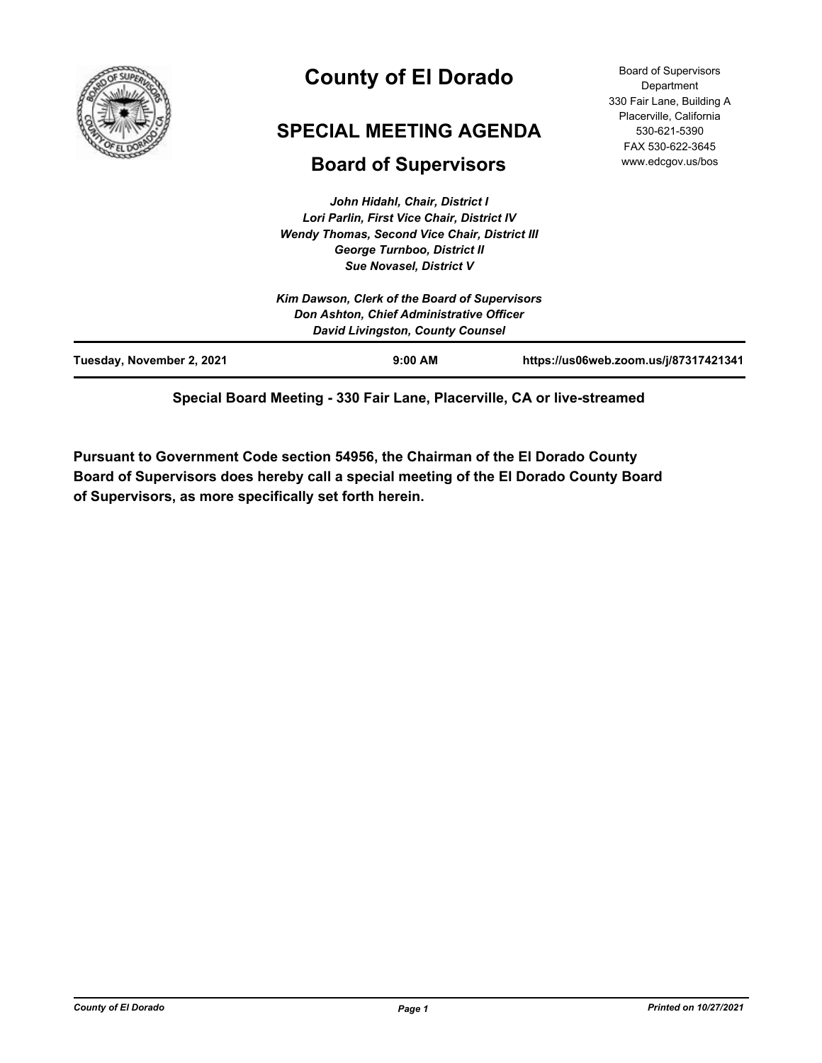

# **County of El Dorado**

# **SPECIAL MEETING AGENDA**

# **Board of Supervisors**

*John Hidahl, Chair, District I Lori Parlin, First Vice Chair, District IV Wendy Thomas, Second Vice Chair, District III George Turnboo, District II Sue Novasel, District V*

|                           | Kim Dawson, Clerk of the Board of Supervisors<br>Don Ashton, Chief Administrative Officer<br><b>David Livingston, County Counsel</b> |                                       |
|---------------------------|--------------------------------------------------------------------------------------------------------------------------------------|---------------------------------------|
| Tuesday, November 2, 2021 | $9:00$ AM                                                                                                                            | https://us06web.zoom.us/j/87317421341 |

**Special Board Meeting - 330 Fair Lane, Placerville, CA or live-streamed**

**Pursuant to Government Code section 54956, the Chairman of the El Dorado County Board of Supervisors does hereby call a special meeting of the El Dorado County Board of Supervisors, as more specifically set forth herein.**

Board of Supervisors **Department** 330 Fair Lane, Building A Placerville, California 530-621-5390 FAX 530-622-3645 www.edcgov.us/bos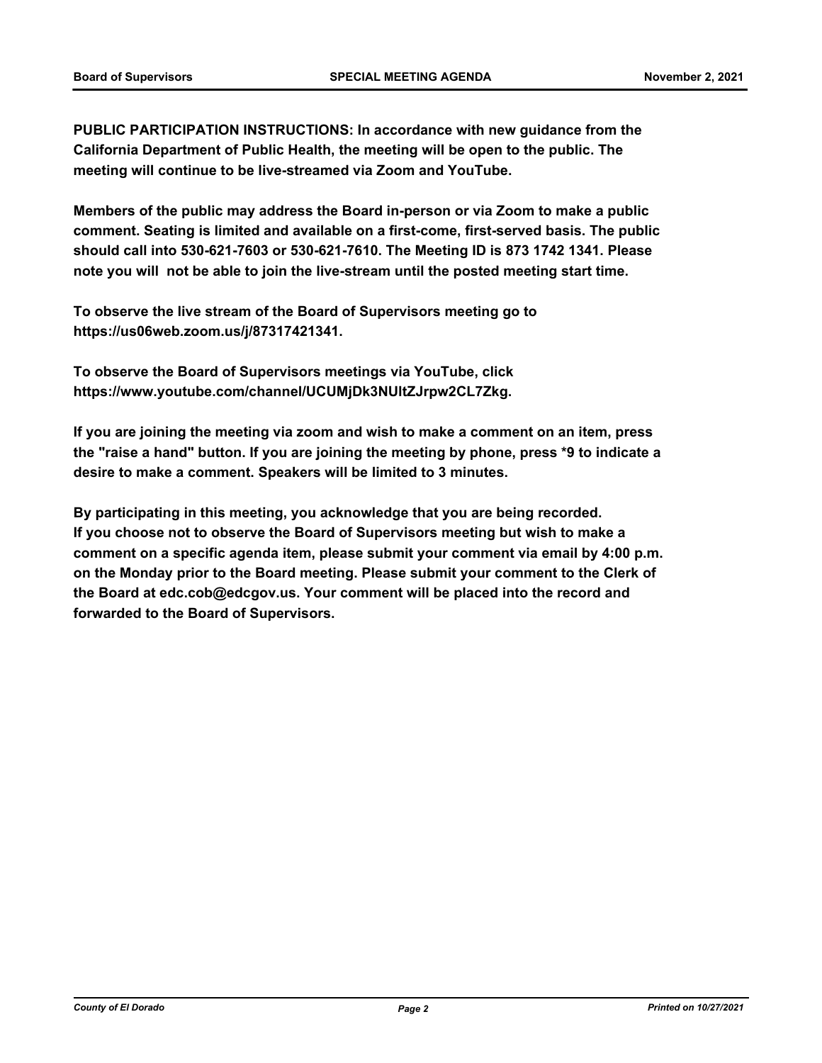**PUBLIC PARTICIPATION INSTRUCTIONS: In accordance with new guidance from the California Department of Public Health, the meeting will be open to the public. The meeting will continue to be live-streamed via Zoom and YouTube.**

**Members of the public may address the Board in-person or via Zoom to make a public comment. Seating is limited and available on a first-come, first-served basis. The public should call into 530-621-7603 or 530-621-7610. The Meeting ID is 873 1742 1341. Please note you will not be able to join the live-stream until the posted meeting start time.**

**To observe the live stream of the Board of Supervisors meeting go to https://us06web.zoom.us/j/87317421341.**

**To observe the Board of Supervisors meetings via YouTube, click https://www.youtube.com/channel/UCUMjDk3NUltZJrpw2CL7Zkg.**

**If you are joining the meeting via zoom and wish to make a comment on an item, press the "raise a hand" button. If you are joining the meeting by phone, press \*9 to indicate a desire to make a comment. Speakers will be limited to 3 minutes.**

**By participating in this meeting, you acknowledge that you are being recorded. If you choose not to observe the Board of Supervisors meeting but wish to make a comment on a specific agenda item, please submit your comment via email by 4:00 p.m. on the Monday prior to the Board meeting. Please submit your comment to the Clerk of the Board at edc.cob@edcgov.us. Your comment will be placed into the record and forwarded to the Board of Supervisors.**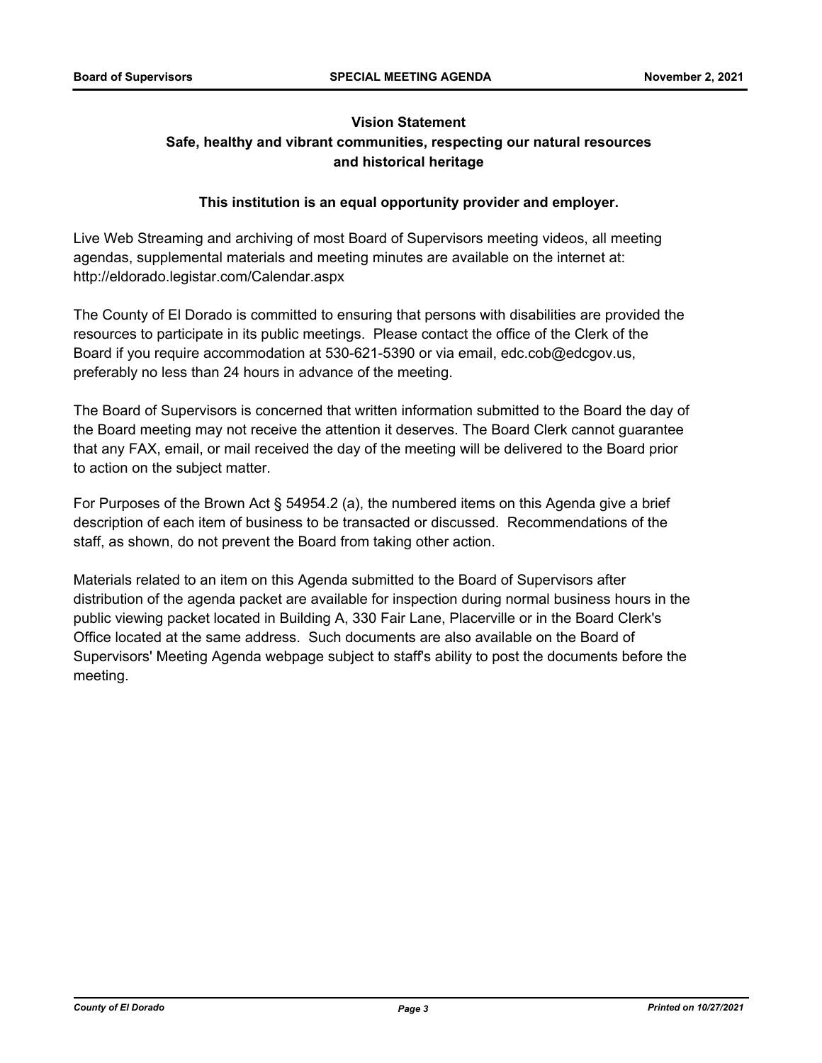# **Vision Statement Safe, healthy and vibrant communities, respecting our natural resources and historical heritage**

## **This institution is an equal opportunity provider and employer.**

Live Web Streaming and archiving of most Board of Supervisors meeting videos, all meeting agendas, supplemental materials and meeting minutes are available on the internet at: http://eldorado.legistar.com/Calendar.aspx

The County of El Dorado is committed to ensuring that persons with disabilities are provided the resources to participate in its public meetings. Please contact the office of the Clerk of the Board if you require accommodation at 530-621-5390 or via email, edc.cob@edcgov.us, preferably no less than 24 hours in advance of the meeting.

The Board of Supervisors is concerned that written information submitted to the Board the day of the Board meeting may not receive the attention it deserves. The Board Clerk cannot guarantee that any FAX, email, or mail received the day of the meeting will be delivered to the Board prior to action on the subject matter.

For Purposes of the Brown Act § 54954.2 (a), the numbered items on this Agenda give a brief description of each item of business to be transacted or discussed. Recommendations of the staff, as shown, do not prevent the Board from taking other action.

Materials related to an item on this Agenda submitted to the Board of Supervisors after distribution of the agenda packet are available for inspection during normal business hours in the public viewing packet located in Building A, 330 Fair Lane, Placerville or in the Board Clerk's Office located at the same address. Such documents are also available on the Board of Supervisors' Meeting Agenda webpage subject to staff's ability to post the documents before the meeting.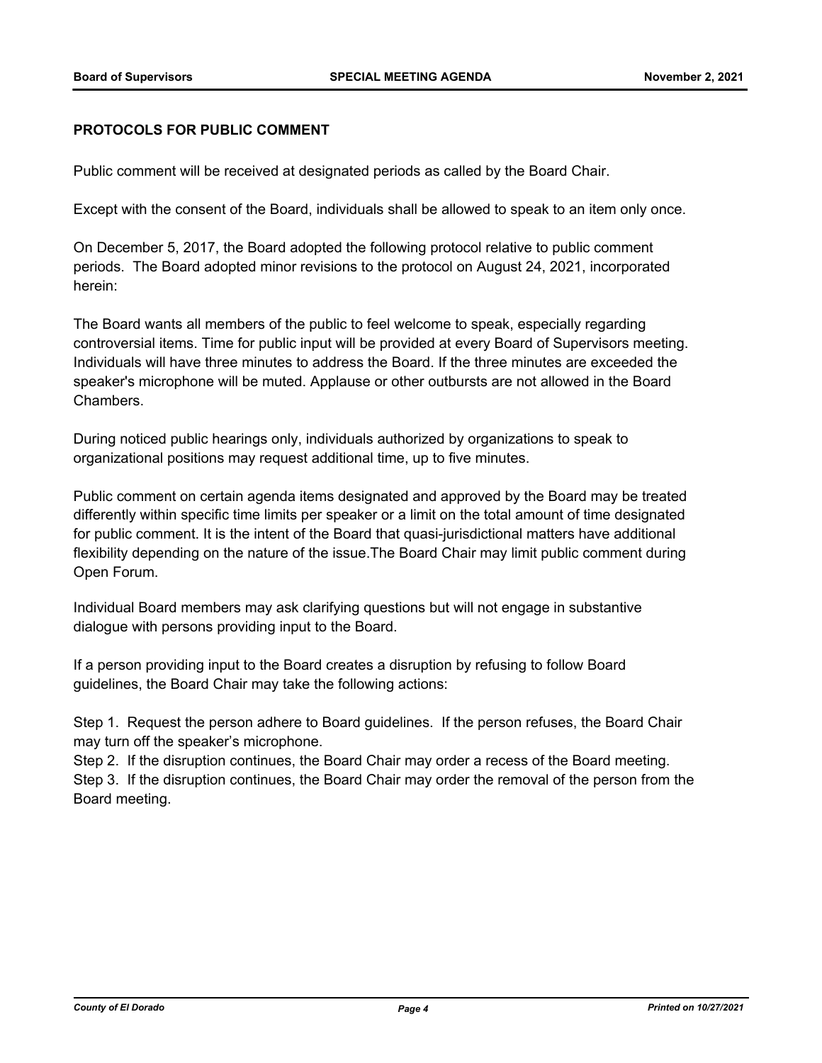#### **PROTOCOLS FOR PUBLIC COMMENT**

Public comment will be received at designated periods as called by the Board Chair.

Except with the consent of the Board, individuals shall be allowed to speak to an item only once.

On December 5, 2017, the Board adopted the following protocol relative to public comment periods. The Board adopted minor revisions to the protocol on August 24, 2021, incorporated herein:

The Board wants all members of the public to feel welcome to speak, especially regarding controversial items. Time for public input will be provided at every Board of Supervisors meeting. Individuals will have three minutes to address the Board. If the three minutes are exceeded the speaker's microphone will be muted. Applause or other outbursts are not allowed in the Board Chambers.

During noticed public hearings only, individuals authorized by organizations to speak to organizational positions may request additional time, up to five minutes.

Public comment on certain agenda items designated and approved by the Board may be treated differently within specific time limits per speaker or a limit on the total amount of time designated for public comment. It is the intent of the Board that quasi-jurisdictional matters have additional flexibility depending on the nature of the issue.The Board Chair may limit public comment during Open Forum.

Individual Board members may ask clarifying questions but will not engage in substantive dialogue with persons providing input to the Board.

If a person providing input to the Board creates a disruption by refusing to follow Board guidelines, the Board Chair may take the following actions:

Step 1. Request the person adhere to Board guidelines. If the person refuses, the Board Chair may turn off the speaker's microphone.

Step 2. If the disruption continues, the Board Chair may order a recess of the Board meeting. Step 3. If the disruption continues, the Board Chair may order the removal of the person from the Board meeting.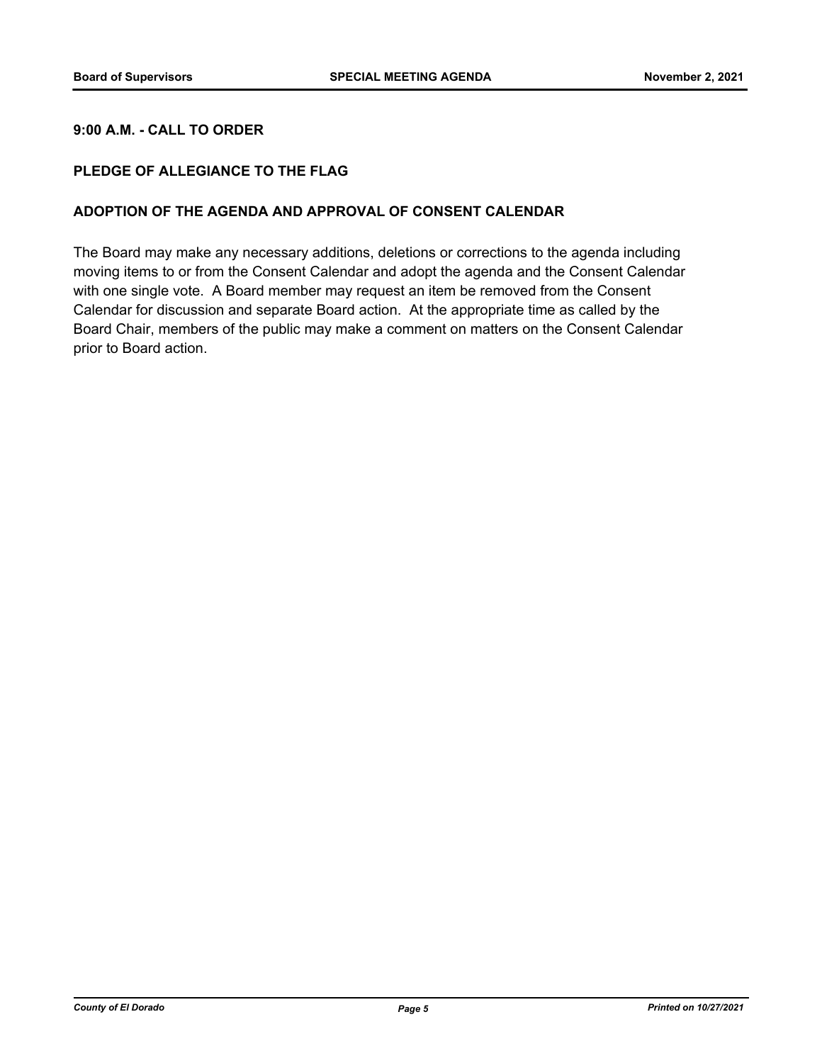#### **9:00 A.M. - CALL TO ORDER**

#### **PLEDGE OF ALLEGIANCE TO THE FLAG**

#### **ADOPTION OF THE AGENDA AND APPROVAL OF CONSENT CALENDAR**

The Board may make any necessary additions, deletions or corrections to the agenda including moving items to or from the Consent Calendar and adopt the agenda and the Consent Calendar with one single vote. A Board member may request an item be removed from the Consent Calendar for discussion and separate Board action. At the appropriate time as called by the Board Chair, members of the public may make a comment on matters on the Consent Calendar prior to Board action.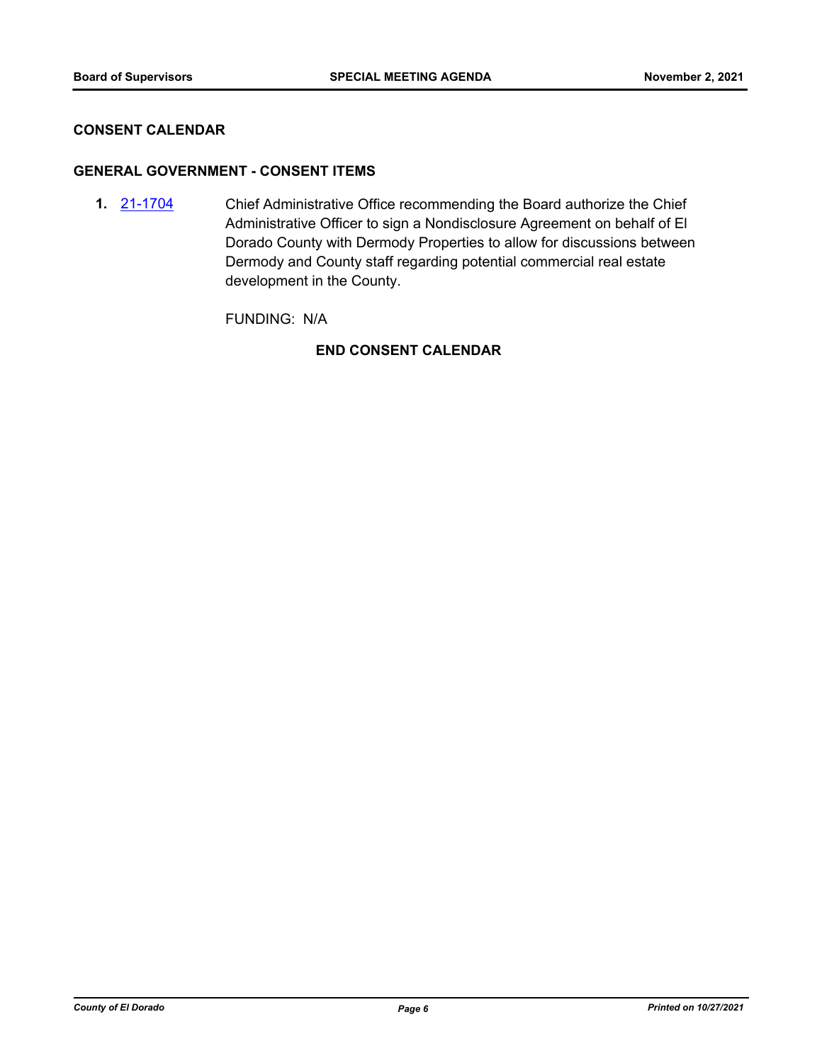#### **CONSENT CALENDAR**

#### **GENERAL GOVERNMENT - CONSENT ITEMS**

Chief Administrative Office recommending the Board authorize the Chief Administrative Officer to sign a Nondisclosure Agreement on behalf of El Dorado County with Dermody Properties to allow for discussions between Dermody and County staff regarding potential commercial real estate development in the County. **1.** [21-1704](http://eldorado.legistar.com/gateway.aspx?m=l&id=/matter.aspx?key=30599)

FUNDING: N/A

## **END CONSENT CALENDAR**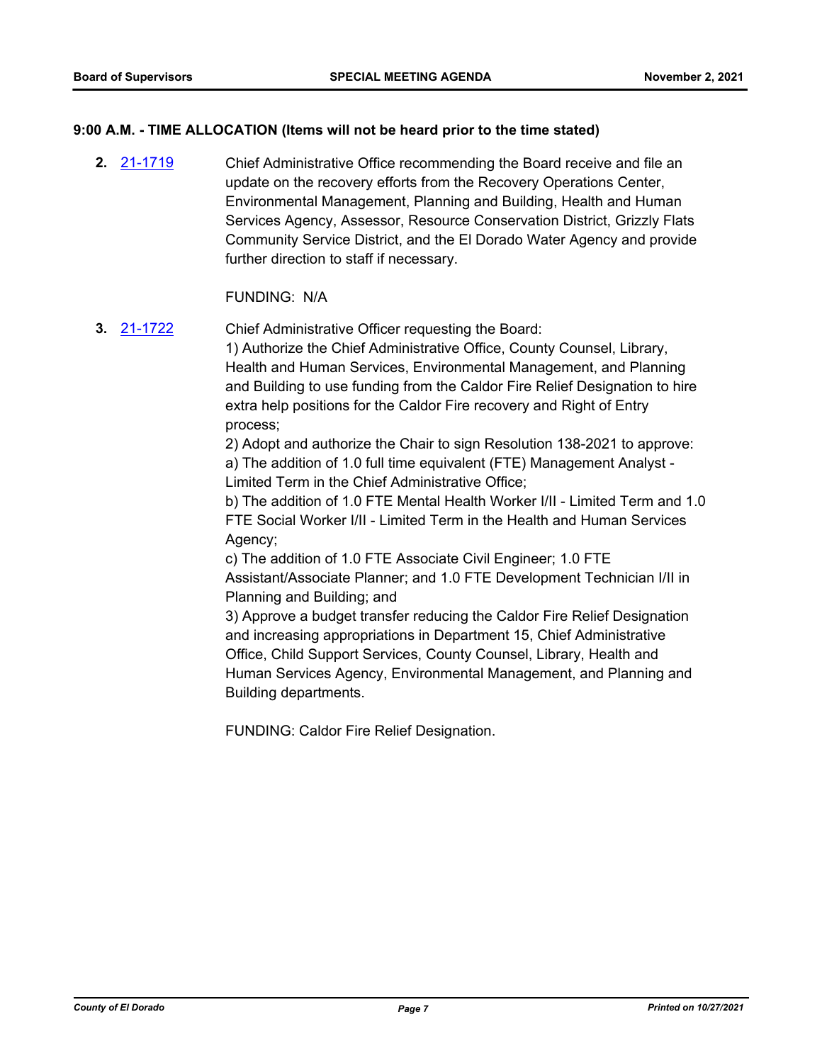#### **9:00 A.M. - TIME ALLOCATION (Items will not be heard prior to the time stated)**

Chief Administrative Office recommending the Board receive and file an update on the recovery efforts from the Recovery Operations Center, Environmental Management, Planning and Building, Health and Human Services Agency, Assessor, Resource Conservation District, Grizzly Flats Community Service District, and the El Dorado Water Agency and provide further direction to staff if necessary. **2.** [21-1719](http://eldorado.legistar.com/gateway.aspx?m=l&id=/matter.aspx?key=30614)

#### FUNDING: N/A

Chief Administrative Officer requesting the Board: 1) Authorize the Chief Administrative Office, County Counsel, Library, Health and Human Services, Environmental Management, and Planning and Building to use funding from the Caldor Fire Relief Designation to hire extra help positions for the Caldor Fire recovery and Right of Entry process; **3.** [21-1722](http://eldorado.legistar.com/gateway.aspx?m=l&id=/matter.aspx?key=30617)

2) Adopt and authorize the Chair to sign Resolution 138-2021 to approve: a) The addition of 1.0 full time equivalent (FTE) Management Analyst - Limited Term in the Chief Administrative Office;

b) The addition of 1.0 FTE Mental Health Worker I/II - Limited Term and 1.0 FTE Social Worker I/II - Limited Term in the Health and Human Services Agency;

c) The addition of 1.0 FTE Associate Civil Engineer; 1.0 FTE Assistant/Associate Planner; and 1.0 FTE Development Technician I/II in Planning and Building; and

3) Approve a budget transfer reducing the Caldor Fire Relief Designation and increasing appropriations in Department 15, Chief Administrative Office, Child Support Services, County Counsel, Library, Health and Human Services Agency, Environmental Management, and Planning and Building departments.

FUNDING: Caldor Fire Relief Designation.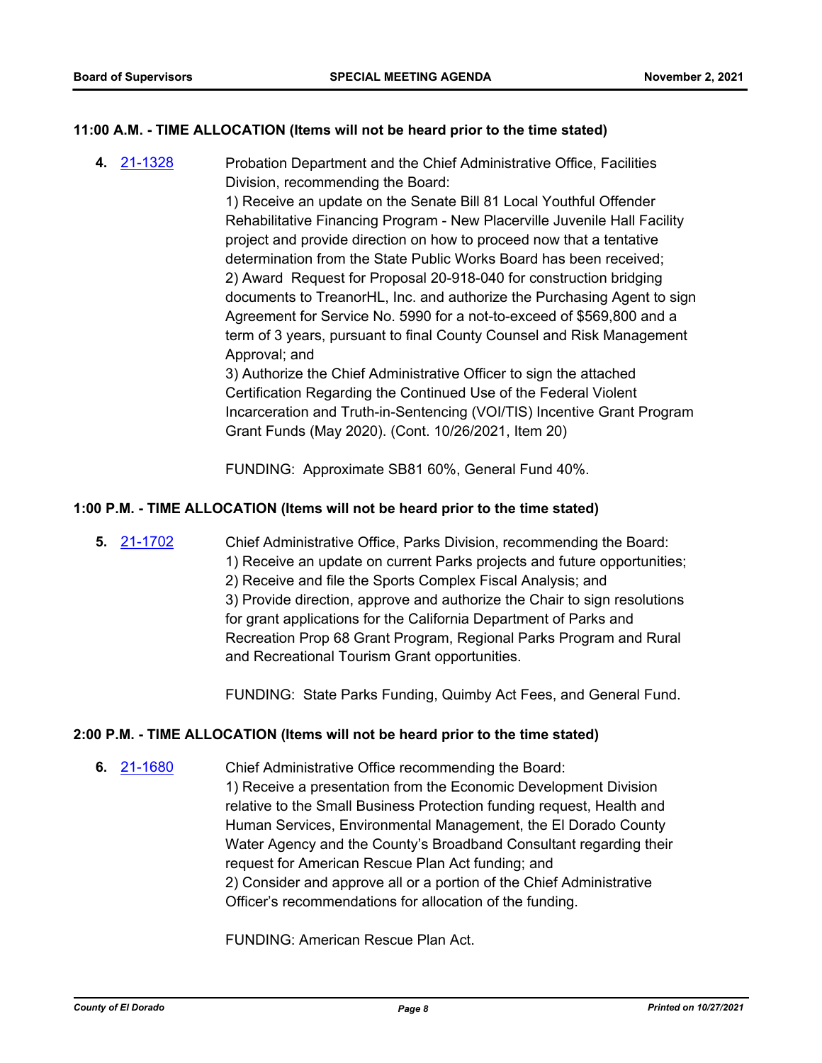#### **11:00 A.M. - TIME ALLOCATION (Items will not be heard prior to the time stated)**

Probation Department and the Chief Administrative Office, Facilities Division, recommending the Board: **4.** [21-1328](http://eldorado.legistar.com/gateway.aspx?m=l&id=/matter.aspx?key=30223)

> 1) Receive an update on the Senate Bill 81 Local Youthful Offender Rehabilitative Financing Program - New Placerville Juvenile Hall Facility project and provide direction on how to proceed now that a tentative determination from the State Public Works Board has been received; 2) Award Request for Proposal 20-918-040 for construction bridging documents to TreanorHL, Inc. and authorize the Purchasing Agent to sign Agreement for Service No. 5990 for a not-to-exceed of \$569,800 and a term of 3 years, pursuant to final County Counsel and Risk Management Approval; and

> 3) Authorize the Chief Administrative Officer to sign the attached Certification Regarding the Continued Use of the Federal Violent Incarceration and Truth-in-Sentencing (VOI/TIS) Incentive Grant Program Grant Funds (May 2020). (Cont. 10/26/2021, Item 20)

FUNDING: Approximate SB81 60%, General Fund 40%.

#### **1:00 P.M. - TIME ALLOCATION (Items will not be heard prior to the time stated)**

Chief Administrative Office, Parks Division, recommending the Board: 1) Receive an update on current Parks projects and future opportunities; 2) Receive and file the Sports Complex Fiscal Analysis; and 3) Provide direction, approve and authorize the Chair to sign resolutions for grant applications for the California Department of Parks and Recreation Prop 68 Grant Program, Regional Parks Program and Rural and Recreational Tourism Grant opportunities. **5.** [21-1702](http://eldorado.legistar.com/gateway.aspx?m=l&id=/matter.aspx?key=30597)

FUNDING: State Parks Funding, Quimby Act Fees, and General Fund.

#### **2:00 P.M. - TIME ALLOCATION (Items will not be heard prior to the time stated)**

Chief Administrative Office recommending the Board: 1) Receive a presentation from the Economic Development Division relative to the Small Business Protection funding request, Health and Human Services, Environmental Management, the El Dorado County Water Agency and the County's Broadband Consultant regarding their request for American Rescue Plan Act funding; and 2) Consider and approve all or a portion of the Chief Administrative Officer's recommendations for allocation of the funding. **6.** [21-1680](http://eldorado.legistar.com/gateway.aspx?m=l&id=/matter.aspx?key=30575)

FUNDING: American Rescue Plan Act.